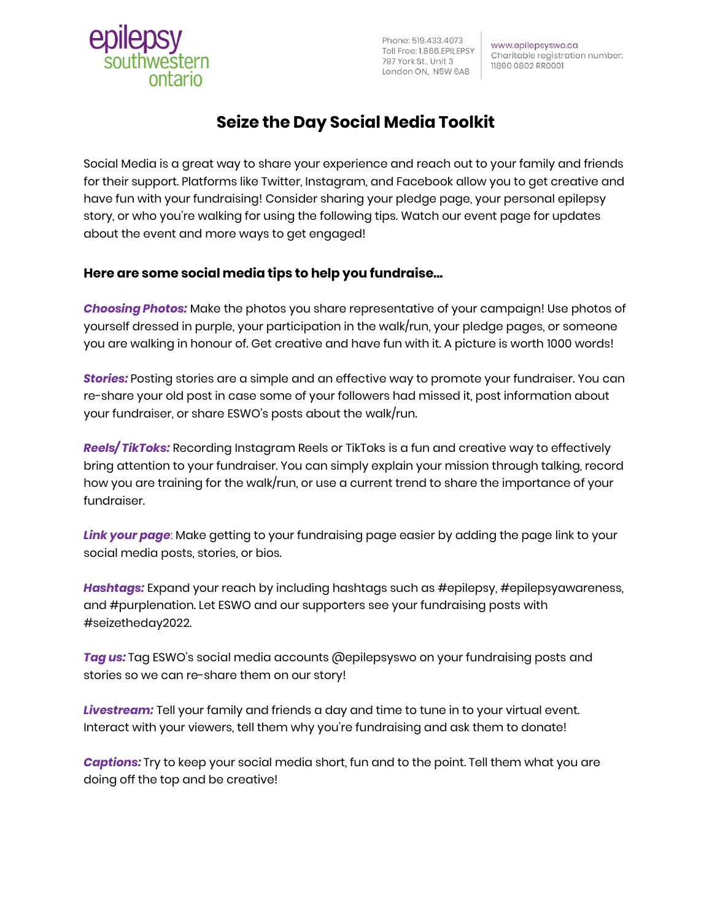Phone: 519.433.4073 Toll Free: 1.866.EPILEPSY 797 York St., Unit 3 London ON, N5W 6A8

www.epilepsyswo.ca Charitable registration number: 11890 0802 RR0001

# **Seize the Day Social Media Toolkit**

Social Media is a great way to share your experience and reach out to your family and friends for their support. Platforms like Twitter, Instagram, and Facebook allow you to get creative and have fun with your fundraising! Consider sharing your pledge page, your personal epilepsy story, or who you're walking for using the following tips. Watch our event page for updates about the event and more ways to get engaged!

## **Here are some social media tips to help you fundraise…**

*Choosing Photos:* Make the photos you share representative of your campaign! Use photos of yourself dressed in purple, your participation in the walk/run, your pledge pages, or someone you are walking in honour of. Get creative and have fun with it. A picture is worth 1000 words!

*Stories:* Posting stories are a simple and an effective way to promote your fundraiser. You can re-share your old post in case some of your followers had missed it, post information about your fundraiser, or share ESWO's posts about the walk/run.

*Reels/ TikToks:* Recording Instagram Reels or TikToks is a fun and creative way to effectively bring attention to your fundraiser. You can simply explain your mission through talking, record how you are training for the walk/run, or use a current trend to share the importance of your fundraiser.

*Link your page*: Make getting to your fundraising page easier by adding the page link to your social media posts, stories, or bios.

*Hashtags:* Expand your reach by including hashtags such as #epilepsy, #epilepsyawareness, and #purplenation. Let ESWO and our supporters see your fundraising posts with #seizetheday2022.

*Tag us:* Tag ESWO's social media accounts @epilepsyswo on your fundraising posts and stories so we can re-share them on our story!

*Livestream:* Tell your family and friends a day and time to tune in to your virtual event. Interact with your viewers, tell them why you're fundraising and ask them to donate!

*Captions:* Try to keep your social media short, fun and to the point. Tell them what you are doing off the top and be creative!

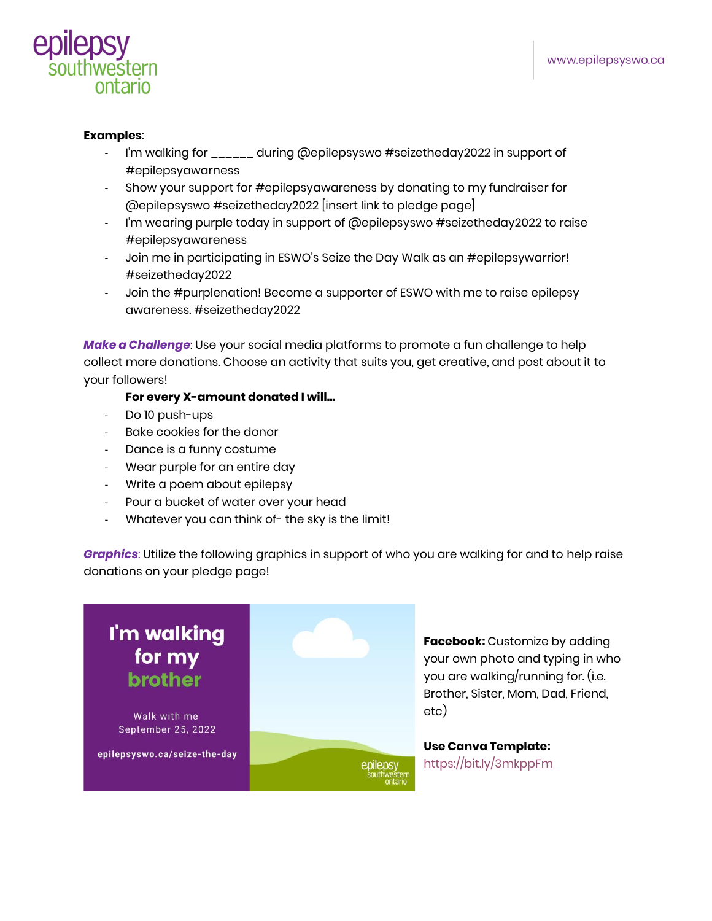

#### **Examples**:

- I'm walking for \_\_\_\_\_\_ during @epilepsyswo #seizetheday2022 in support of #epilepsyawarness
- Show your support for #epilepsyawareness by donating to my fundraiser for @epilepsyswo #seizetheday2022 [insert link to pledge page]
- I'm wearing purple today in support of @epilepsyswo #seizetheday2022 to raise #epilepsyawareness
- Join me in participating in ESWO's Seize the Day Walk as an #epilepsywarrior! #seizetheday2022
- Join the #purplenation! Become a supporter of ESWO with me to raise epilepsy awareness. #seizetheday2022

*Make a Challenge*: Use your social media platforms to promote a fun challenge to help collect more donations. Choose an activity that suits you, get creative, and post about it to your followers!

### **For every X-amount donated I will…**

- Do 10 push-ups
- Bake cookies for the donor
- Dance is a funny costume
- Wear purple for an entire day
- Write a poem about epilepsy
- Pour a bucket of water over your head
- Whatever you can think of- the sky is the limit!

*Graphics*: Utilize the following graphics in support of who you are walking for and to help raise donations on your pledge page!



**Facebook:** Customize by adding your own photo and typing in who you are walking/running for. (i.e. Brother, Sister, Mom, Dad, Friend,

**Use Canva Template:** <https://bit.ly/3mkppFm>